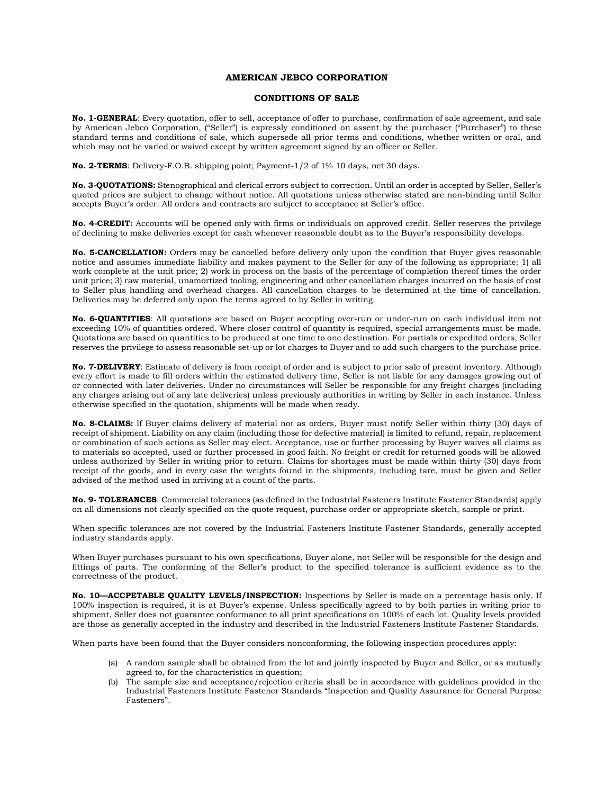## **AMERICAN JEBCO CORPORATION**

## **CONDITIONS OF SALE**

**No. 1-GENERAL**: Every quotation, offer to sell, acceptance of offer to purchase, confirmation of sale agreement, and sale by American Jebco Corporation, ("Seller") is expressly conditioned on assent by the purchaser ("Purchaser") to these standard terms and conditions of sale, which supersede all prior terms and conditions, whether written or oral, and which may not be varied or waived except by written agreement signed by an officer or Seller.

**No. 2-TERMS**: Delivery-F.O.B. shipping point; Payment-1/2 of 1% 10 days, net 30 days.

**No. 3-QUOTATIONS:** Stenographical and clerical errors subject to correction. Until an order is accepted by Seller, Seller's quoted prices are subject to change without notice. All quotations unless otherwise stated are non-binding until Seller accepts Buyer's order. All orders and contracts are subject to acceptance at Seller's office.

**No. 4-CREDIT:** Accounts will be opened only with firms or individuals on approved credit. Seller reserves the privilege of declining to make deliveries except for cash whenever reasonable doubt as to the Buyer's responsibility develops.

**No. 5-CANCELLATION:** Orders may be cancelled before delivery only upon the condition that Buyer gives reasonable notice and assumes immediate liability and makes payment to the Seller for any of the following as appropriate: 1) all work complete at the unit price; 2) work in process on the basis of the percentage of completion thereof times the order unit price; 3) raw material, unamortized tooling, engineering and other cancellation charges incurred on the basis of cost to Seller plus handling and overhead charges. All cancellation charges to be determined at the time of cancellation. Deliveries may be deferred only upon the terms agreed to by Seller in writing.

**No. 6-QUANTITIES**: All quotations are based on Buyer accepting over-run or under-run on each individual item not exceeding 10% of quantities ordered. Where closer control of quantity is required, special arrangements must be made. Quotations are based on quantities to be produced at one time to one destination. For partials or expedited orders, Seller reserves the privilege to assess reasonable set-up or lot charges to Buyer and to add such chargers to the purchase price.

**No. 7-DELIVERY**: Estimate of delivery is from receipt of order and is subject to prior sale of present inventory. Although every effort is made to fill orders within the estimated delivery time, Seller is not liable for any damages growing out of or connected with later deliveries. Under no circumstances will Seller be responsible for any freight charges (including any charges arising out of any late deliveries) unless previously authorities in writing by Seller in each instance. Unless otherwise specified in the quotation, shipments will be made when ready.

**No. 8-CLAIMS:** If Buyer claims delivery of material not as orders, Buyer must notify Seller within thirty (30) days of receipt of shipment. Liability on any claim (including those for defective material) is limited to refund, repair, replacement or combination of such actions as Seller may elect. Acceptance, use or further processing by Buyer waives all claims as to materials so accepted, used or further processed in good faith. No freight or credit for returned goods will be allowed unless authorized by Seller in writing prior to return. Claims for shortages must be made within thirty (30) days from receipt of the goods, and in every case the weights found in the shipments, including tare, must be given and Seller advised of the method used in arriving at a count of the parts.

**No. 9- TOLERANCES**: Commercial tolerances (as defined in the Industrial Fasteners Institute Fastener Standards) apply on all dimensions not clearly specified on the quote request, purchase order or appropriate sketch, sample or print.

When specific tolerances are not covered by the Industrial Fasteners Institute Fastener Standards, generally accepted industry standards apply.

When Buyer purchases pursuant to his own specifications, Buyer alone, not Seller will be responsible for the design and fittings of parts. The conforming of the Seller's product to the specified tolerance is sufficient evidence as to the correctness of the product.

**No. 10—ACCPETABLE QUALITY LEVELS/INSPECTION:** Inspections by Seller is made on a percentage basis only. If 100% inspection is required, it is at Buyer's expense. Unless specifically agreed to by both parties in writing prior to shipment, Seller does not guarantee conformance to all print specifications on 100% of each lot. Quality levels provided are those as generally accepted in the industry and described in the Industrial Fasteners Institute Fastener Standards.

When parts have been found that the Buyer considers nonconforming, the following inspection procedures apply:

- (a) A random sample shall be obtained from the lot and jointly inspected by Buyer and Seller, or as mutually agreed to, for the characteristics in question;
- (b) The sample size and acceptance/rejection criteria shall be in accordance with guidelines provided in the Industrial Fasteners Institute Fastener Standards "Inspection and Quality Assurance for General Purpose Fasteners".